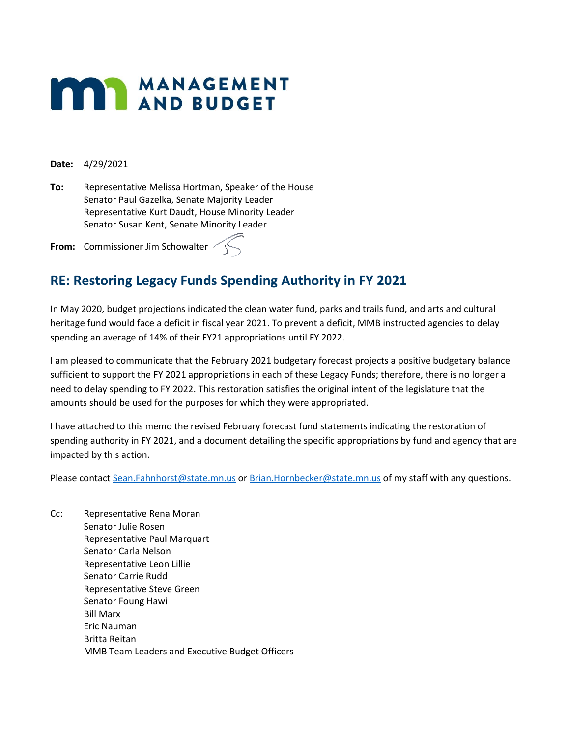# **MANAGEMENT**

**Date:** 4/29/2021

**To:** Representative Melissa Hortman, Speaker of the House Senator Paul Gazelka, Senate Majority Leader Representative Kurt Daudt, House Minority Leader Senator Susan Kent, Senate Minority Leader

**From:** Commissioner Jim Schowalter

# **RE: Restoring Legacy Funds Spending Authority in FY 2021**

In May 2020, budget projections indicated the clean water fund, parks and trails fund, and arts and cultural heritage fund would face a deficit in fiscal year 2021. To prevent a deficit, MMB instructed agencies to delay spending an average of 14% of their FY21 appropriations until FY 2022.

I am pleased to communicate that the February 2021 budgetary forecast projects a positive budgetary balance sufficient to support the FY 2021 appropriations in each of these Legacy Funds; therefore, there is no longer a need to delay spending to FY 2022. This restoration satisfies the original intent of the legislature that the amounts should be used for the purposes for which they were appropriated.

I have attached to this memo the revised February forecast fund statements indicating the restoration of spending authority in FY 2021, and a document detailing the specific appropriations by fund and agency that are impacted by this action.

Please contact [Sean.Fahnhorst@state.mn.us](mailto:Sean.Fahnhorst@state.mn.us) or [Brian.Hornbecker@state.mn.us](mailto:Jeffrey.Schnobrich@state.mn.us) of my staff with any questions.

Cc: Representative Rena Moran Senator Julie Rosen Representative Paul Marquart Senator Carla Nelson Representative Leon Lillie Senator Carrie Rudd Representative Steve Green Senator Foung Hawi Bill Marx Eric Nauman Britta Reitan MMB Team Leaders and Executive Budget Officers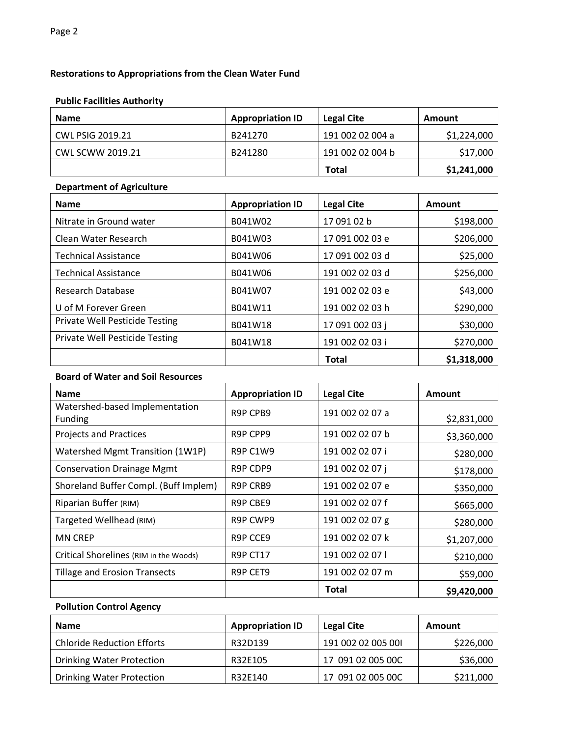## **Restorations to Appropriations from the Clean Water Fund**

#### **Public Facilities Authority**

| <b>Name</b>             | <b>Appropriation ID</b> | Legal Cite       | Amount      |
|-------------------------|-------------------------|------------------|-------------|
| <b>CWL PSIG 2019.21</b> | B241270                 | 191 002 02 004 a | \$1,224,000 |
| CWL SCWW 2019.21        | B241280                 | 191 002 02 004 b | \$17,000    |
|                         |                         | <b>Total</b>     | \$1,241,000 |

#### **Department of Agriculture**

| <b>Name</b>                           | <b>Appropriation ID</b> | <b>Legal Cite</b> | Amount      |
|---------------------------------------|-------------------------|-------------------|-------------|
| Nitrate in Ground water               | B041W02                 | 17 091 02 b       | \$198,000   |
| Clean Water Research                  | B041W03                 | 17 091 002 03 e   | \$206,000   |
| <b>Technical Assistance</b>           | B041W06                 | 17 091 002 03 d   | \$25,000    |
| <b>Technical Assistance</b>           | B041W06                 | 191 002 02 03 d   | \$256,000   |
| Research Database                     | B041W07                 | 191 002 02 03 e   | \$43,000    |
| U of M Forever Green                  | B041W11                 | 191 002 02 03 h   | \$290,000   |
| <b>Private Well Pesticide Testing</b> | B041W18                 | 17 091 002 03 j   | \$30,000    |
| <b>Private Well Pesticide Testing</b> | B041W18                 | 191 002 02 03 i   | \$270,000   |
|                                       |                         | <b>Total</b>      | \$1,318,000 |

#### **Board of Water and Soil Resources**

| <b>Name</b>                               | <b>Appropriation ID</b>           | <b>Legal Cite</b> | Amount      |
|-------------------------------------------|-----------------------------------|-------------------|-------------|
| Watershed-based Implementation<br>Funding | R9P CPB9                          | 191 002 02 07 a   | \$2,831,000 |
| <b>Projects and Practices</b>             | R9P CPP9                          | 191 002 02 07 b   | \$3,360,000 |
| Watershed Mgmt Transition (1W1P)          | <b>R9P C1W9</b>                   | 191 002 02 07 i   | \$280,000   |
| <b>Conservation Drainage Mgmt</b>         | R9P CDP9                          | 191 002 02 07 i   | \$178,000   |
| Shoreland Buffer Compl. (Buff Implem)     | R9P CRB9                          | 191 002 02 07 e   | \$350,000   |
| Riparian Buffer (RIM)                     | R <sub>9</sub> P C <sub>BE9</sub> | 191 002 02 07 f   | \$665,000   |
| Targeted Wellhead (RIM)                   | R9P CWP9                          | 191 002 02 07 g   | \$280,000   |
| <b>MN CREP</b>                            | R9P CCE9                          | 191 002 02 07 k   | \$1,207,000 |
| Critical Shorelines (RIM in the Woods)    | <b>R9P CT17</b>                   | 191 002 02 07     | \$210,000   |
| <b>Tillage and Erosion Transects</b>      | R9P CET9                          | 191 002 02 07 m   | \$59,000    |
|                                           |                                   | <b>Total</b>      | \$9,420,000 |

## **Pollution Control Agency**

| <b>Name</b>                       | <b>Appropriation ID</b> | <b>Legal Cite</b>  | <b>Amount</b> |
|-----------------------------------|-------------------------|--------------------|---------------|
| <b>Chloride Reduction Efforts</b> | R32D139                 | 191 002 02 005 001 | \$226,000     |
| <b>Drinking Water Protection</b>  | R32E105                 | 17 091 02 005 00C  | \$36,000      |
| <b>Drinking Water Protection</b>  | R32E140                 | 17 091 02 005 00C  | \$211,000     |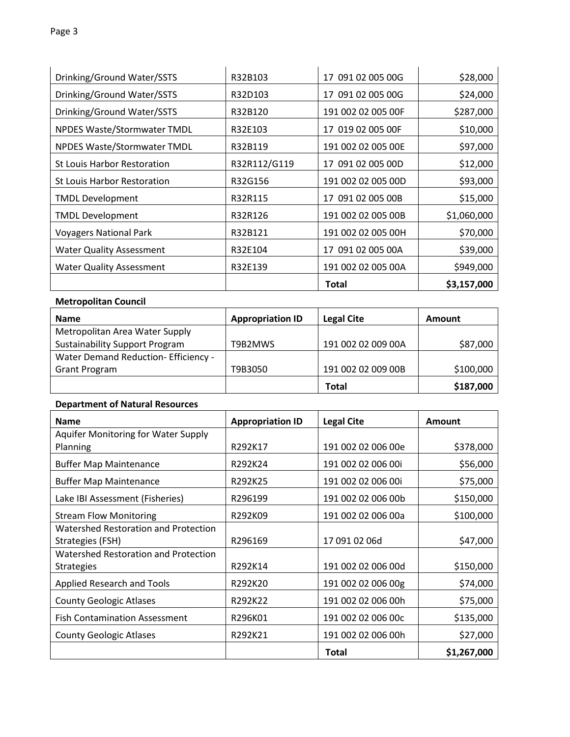| Drinking/Ground Water/SSTS         | R32B103      | 17 091 02 005 00G  | \$28,000    |
|------------------------------------|--------------|--------------------|-------------|
| Drinking/Ground Water/SSTS         | R32D103      | 17 091 02 005 00G  | \$24,000    |
| Drinking/Ground Water/SSTS         | R32B120      | 191 002 02 005 00F | \$287,000   |
| NPDES Waste/Stormwater TMDL        | R32E103      | 17 019 02 005 00F  | \$10,000    |
| NPDES Waste/Stormwater TMDL        | R32B119      | 191 002 02 005 00E | \$97,000    |
| <b>St Louis Harbor Restoration</b> | R32R112/G119 | 17 091 02 005 00D  | \$12,000    |
| <b>St Louis Harbor Restoration</b> | R32G156      | 191 002 02 005 00D | \$93,000    |
| <b>TMDL Development</b>            | R32R115      | 17 091 02 005 00B  | \$15,000    |
| <b>TMDL Development</b>            | R32R126      | 191 002 02 005 00B | \$1,060,000 |
| <b>Voyagers National Park</b>      | R32B121      | 191 002 02 005 00H | \$70,000    |
| <b>Water Quality Assessment</b>    | R32E104      | 17 091 02 005 00A  | \$39,000    |
| <b>Water Quality Assessment</b>    | R32E139      | 191 002 02 005 00A | \$949,000   |
|                                    |              | <b>Total</b>       | \$3,157,000 |

## **Metropolitan Council**

| <b>Name</b>                           | <b>Appropriation ID</b> | <b>Legal Cite</b>  | Amount    |
|---------------------------------------|-------------------------|--------------------|-----------|
| Metropolitan Area Water Supply        |                         |                    |           |
| <b>Sustainability Support Program</b> | T9B2MWS                 | 191 002 02 009 00A | \$87,000  |
| Water Demand Reduction- Efficiency -  |                         |                    |           |
| <b>Grant Program</b>                  | T9B3050                 | 191 002 02 009 00B | \$100,000 |
|                                       |                         | Total              | \$187,000 |

#### **Department of Natural Resources**

| <b>Name</b>                          | <b>Appropriation ID</b> | <b>Legal Cite</b>  | <b>Amount</b> |
|--------------------------------------|-------------------------|--------------------|---------------|
| Aquifer Monitoring for Water Supply  |                         |                    |               |
| Planning                             | R292K17                 | 191 002 02 006 00e | \$378,000     |
| <b>Buffer Map Maintenance</b>        | R292K24                 | 191 002 02 006 00i | \$56,000      |
| <b>Buffer Map Maintenance</b>        | R292K25                 | 191 002 02 006 00i | \$75,000      |
| Lake IBI Assessment (Fisheries)      | R296199                 | 191 002 02 006 00b | \$150,000     |
| <b>Stream Flow Monitoring</b>        | R292K09                 | 191 002 02 006 00a | \$100,000     |
| Watershed Restoration and Protection |                         |                    |               |
| Strategies (FSH)                     | R296169                 | 17 091 02 06d      | \$47,000      |
| Watershed Restoration and Protection |                         |                    |               |
| <b>Strategies</b>                    | R292K14                 | 191 002 02 006 00d | \$150,000     |
| Applied Research and Tools           | R292K20                 | 191 002 02 006 00g | \$74,000      |
| <b>County Geologic Atlases</b>       | R292K22                 | 191 002 02 006 00h | \$75,000      |
| <b>Fish Contamination Assessment</b> | R296K01                 | 191 002 02 006 00c | \$135,000     |
| <b>County Geologic Atlases</b>       | R292K21                 | 191 002 02 006 00h | \$27,000      |
|                                      |                         | <b>Total</b>       | \$1,267,000   |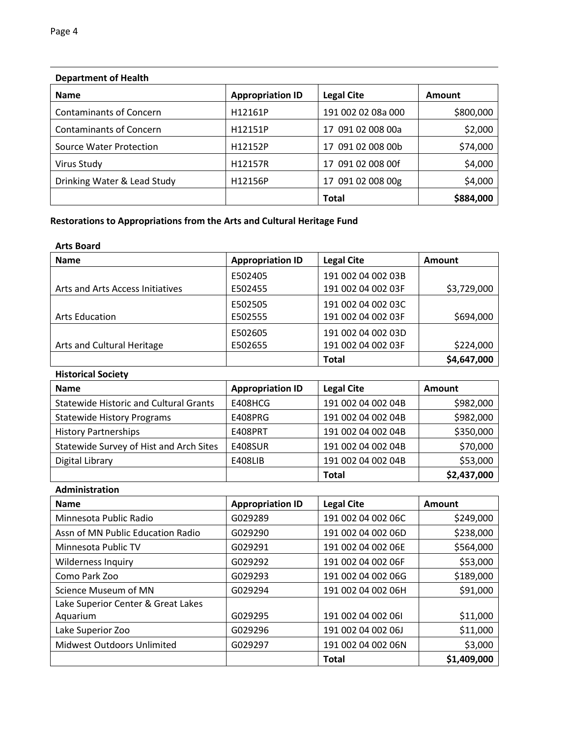| Department of Health           |                         |                    |               |  |
|--------------------------------|-------------------------|--------------------|---------------|--|
| <b>Name</b>                    | <b>Appropriation ID</b> | <b>Legal Cite</b>  | <b>Amount</b> |  |
| <b>Contaminants of Concern</b> | H12161P                 | 191 002 02 08a 000 | \$800,000     |  |
| <b>Contaminants of Concern</b> | H12151P                 | 17 091 02 008 00a  | \$2,000       |  |
| Source Water Protection        | H12152P                 | 17 091 02 008 00b  | \$74,000      |  |
| Virus Study                    | H12157R                 | 17 091 02 008 00f  | \$4,000       |  |
| Drinking Water & Lead Study    | H12156P                 | 17 091 02 008 00g  | \$4,000       |  |
|                                |                         | <b>Total</b>       | \$884,000     |  |

# **Department of Health**

## **Restorations to Appropriations from the Arts and Cultural Heritage Fund**

#### **Arts Board**

| <b>Name</b>                      | <b>Appropriation ID</b> | <b>Legal Cite</b>  | <b>Amount</b> |
|----------------------------------|-------------------------|--------------------|---------------|
|                                  | E502405                 | 191 002 04 002 03B |               |
| Arts and Arts Access Initiatives | E502455                 | 191 002 04 002 03F | \$3,729,000   |
|                                  | E502505                 | 191 002 04 002 03C |               |
| <b>Arts Education</b>            | E502555                 | 191 002 04 002 03F | \$694,000     |
|                                  | E502605                 | 191 002 04 002 03D |               |
| Arts and Cultural Heritage       | E502655                 | 191 002 04 002 03F | \$224,000     |
|                                  |                         | Total              | \$4,647,000   |

#### **Historical Society**

| <b>Name</b>                                   | <b>Appropriation ID</b> | <b>Legal Cite</b>  | Amount      |
|-----------------------------------------------|-------------------------|--------------------|-------------|
| <b>Statewide Historic and Cultural Grants</b> | E408HCG                 | 191 002 04 002 04B | \$982,000   |
| <b>Statewide History Programs</b>             | E408PRG                 | 191 002 04 002 04B | \$982,000   |
| <b>History Partnerships</b>                   | E408PRT                 | 191 002 04 002 04B | \$350,000   |
| Statewide Survey of Hist and Arch Sites       | <b>E408SUR</b>          | 191 002 04 002 04B | \$70,000    |
| Digital Library                               | <b>E408LIB</b>          | 191 002 04 002 04B | \$53,000    |
|                                               |                         | <b>Total</b>       | \$2,437,000 |

#### **Administration**

| <b>Name</b>                        | <b>Appropriation ID</b> | <b>Legal Cite</b>  | Amount      |
|------------------------------------|-------------------------|--------------------|-------------|
| Minnesota Public Radio             | G029289                 | 191 002 04 002 06C | \$249,000   |
| Assn of MN Public Education Radio  | G029290                 | 191 002 04 002 06D | \$238,000   |
| Minnesota Public TV                | G029291                 | 191 002 04 002 06E | \$564,000   |
| <b>Wilderness Inquiry</b>          | G029292                 | 191 002 04 002 06F | \$53,000    |
| Como Park Zoo                      | G029293                 | 191 002 04 002 06G | \$189,000   |
| Science Museum of MN               | G029294                 | 191 002 04 002 06H | \$91,000    |
| Lake Superior Center & Great Lakes |                         |                    |             |
| Aquarium                           | G029295                 | 191 002 04 002 061 | \$11,000    |
| Lake Superior Zoo                  | G029296                 | 191 002 04 002 06J | \$11,000    |
| <b>Midwest Outdoors Unlimited</b>  | G029297                 | 191 002 04 002 06N | \$3,000     |
|                                    |                         | <b>Total</b>       | \$1,409,000 |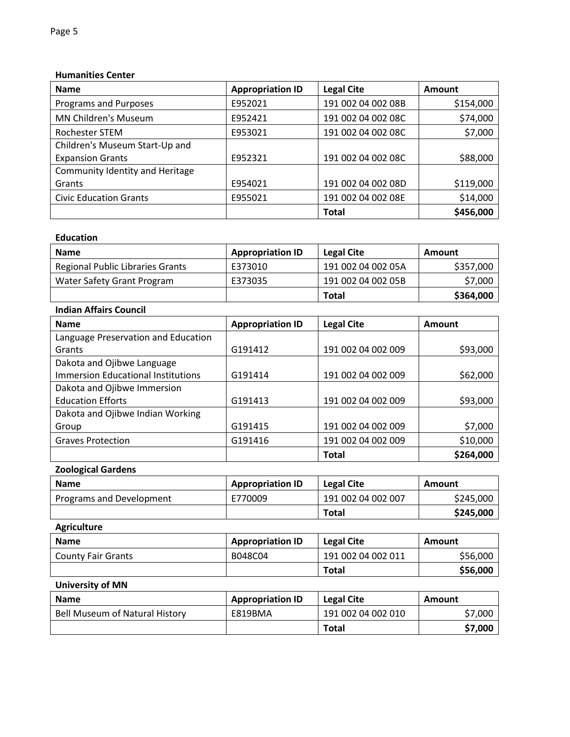#### **Humanities Center**

| <b>Name</b>                     | <b>Appropriation ID</b> | <b>Legal Cite</b>  | Amount    |
|---------------------------------|-------------------------|--------------------|-----------|
| Programs and Purposes           | E952021                 | 191 002 04 002 08B | \$154,000 |
| <b>MN Children's Museum</b>     | E952421                 | 191 002 04 002 08C | \$74,000  |
| Rochester STEM                  | E953021                 | 191 002 04 002 08C | \$7,000   |
| Children's Museum Start-Up and  |                         |                    |           |
| <b>Expansion Grants</b>         | E952321                 | 191 002 04 002 08C | \$88,000  |
| Community Identity and Heritage |                         |                    |           |
| Grants                          | E954021                 | 191 002 04 002 08D | \$119,000 |
| <b>Civic Education Grants</b>   | E955021                 | 191 002 04 002 08E | \$14,000  |
|                                 |                         | <b>Total</b>       | \$456,000 |

#### **Education**

| <b>Name</b>                      | <b>Appropriation ID</b> | Legal Cite         | Amount    |
|----------------------------------|-------------------------|--------------------|-----------|
| Regional Public Libraries Grants | E373010                 | 191 002 04 002 05A | \$357,000 |
| Water Safety Grant Program       | E373035                 | 191 002 04 002 05B | \$7,000   |
|                                  |                         | <b>Total</b>       | \$364,000 |

## **Indian Affairs Council**

| <b>Name</b>                               | <b>Appropriation ID</b> | <b>Legal Cite</b>  | Amount    |
|-------------------------------------------|-------------------------|--------------------|-----------|
| Language Preservation and Education       |                         |                    |           |
| Grants                                    | G191412                 | 191 002 04 002 009 | \$93,000  |
| Dakota and Ojibwe Language                |                         |                    |           |
| <b>Immersion Educational Institutions</b> | G191414                 | 191 002 04 002 009 | \$62,000  |
| Dakota and Ojibwe Immersion               |                         |                    |           |
| <b>Education Efforts</b>                  | G191413                 | 191 002 04 002 009 | \$93,000  |
| Dakota and Ojibwe Indian Working          |                         |                    |           |
| Group                                     | G191415                 | 191 002 04 002 009 | \$7,000   |
| <b>Graves Protection</b>                  | G191416                 | 191 002 04 002 009 | \$10,000  |
|                                           |                         | <b>Total</b>       | \$264,000 |

## **Zoological Gardens**

| <b>Name</b>              | <b>Appropriation ID</b> | <b>Legal Cite</b>  | Amount    |
|--------------------------|-------------------------|--------------------|-----------|
| Programs and Development | E770009                 | 191 002 04 002 007 | \$245,000 |
|                          |                         | <b>Total</b>       | \$245,000 |

## **Agriculture**

| <b>Name</b>               | <b>Appropriation ID</b> | <b>Legal Cite</b>  | Amount   |
|---------------------------|-------------------------|--------------------|----------|
| <b>County Fair Grants</b> | B048C04                 | 191 002 04 002 011 | \$56,000 |
|                           |                         | <b>Total</b>       | \$56,000 |

## **University of MN**

| <b>Name</b>                           | <b>Appropriation ID</b> | <b>Legal Cite</b>  | Amount  |
|---------------------------------------|-------------------------|--------------------|---------|
| <b>Bell Museum of Natural History</b> | E819BMA                 | 191 002 04 002 010 | \$7,000 |
|                                       |                         | <b>Total</b>       | \$7,000 |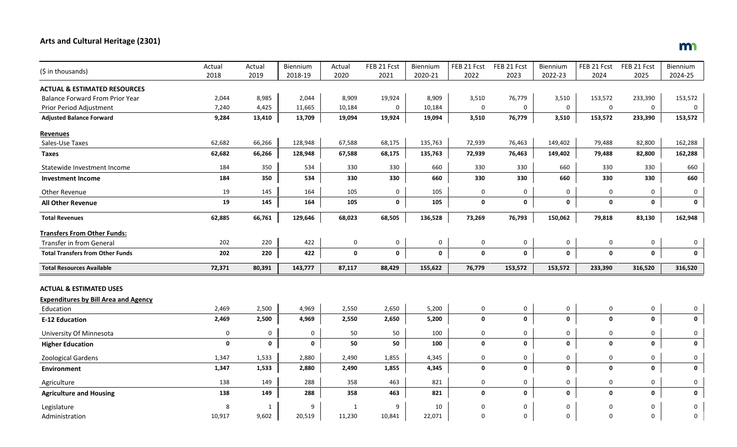# **Arts and Cultural Heritage (2301)**

| (\$ in thousands)                                        | Actual      | Actual | Biennium    | Actual      | FEB 21 Fcst | Biennium | FEB 21 Fcst | FEB 21 Fcst  | Biennium     | FEB 21 Fcst | FEB 21 Fcst | Biennium    |
|----------------------------------------------------------|-------------|--------|-------------|-------------|-------------|----------|-------------|--------------|--------------|-------------|-------------|-------------|
|                                                          | 2018        | 2019   | 2018-19     | 2020        | 2021        | 2020-21  | 2022        | 2023         | 2022-23      | 2024        | 2025        | 2024-25     |
| <b>ACTUAL &amp; ESTIMATED RESOURCES</b>                  |             |        |             |             |             |          |             |              |              |             |             |             |
| <b>Balance Forward From Prior Year</b>                   | 2,044       | 8,985  | 2,044       | 8,909       | 19,924      | 8,909    | 3,510       | 76,779       | 3,510        | 153,572     | 233,390     | 153,572     |
| Prior Period Adjustment                                  | 7,240       | 4,425  | 11,665      | 10,184      | $\mathbf 0$ | 10,184   | $\Omega$    | $\mathsf{O}$ | $\mathbf 0$  | 0           | 0           | $\pmb{0}$   |
| <b>Adjusted Balance Forward</b>                          | 9,284       | 13,410 | 13,709      | 19,094      | 19,924      | 19,094   | 3,510       | 76,779       | 3,510        | 153,572     | 233,390     | 153,572     |
| <b>Revenues</b>                                          |             |        |             |             |             |          |             |              |              |             |             |             |
| Sales-Use Taxes                                          | 62,682      | 66,266 | 128,948     | 67,588      | 68,175      | 135,763  | 72,939      | 76,463       | 149,402      | 79,488      | 82,800      | 162,288     |
| <b>Taxes</b>                                             | 62,682      | 66,266 | 128,948     | 67,588      | 68,175      | 135,763  | 72,939      | 76,463       | 149,402      | 79,488      | 82,800      | 162,288     |
| Statewide Investment Income                              | 184         | 350    | 534         | 330         | 330         | 660      | 330         | 330          | 660          | 330         | 330         | 660         |
| <b>Investment Income</b>                                 | 184         | 350    | 534         | 330         | 330         | 660      | 330         | 330          | 660          | 330         | 330         | 660         |
| Other Revenue                                            | 19          | 145    | 164         | 105         | $\mathbf 0$ | 105      | 0           | 0            | $\mathbf 0$  | $\mathbf 0$ | 0           | 0           |
| <b>All Other Revenue</b>                                 | 19          | 145    | 164         | 105         | $\mathbf 0$ | 105      | $\mathbf 0$ | $\mathbf 0$  | $\mathbf 0$  | 0           | $\mathbf 0$ | 0           |
| <b>Total Revenues</b>                                    | 62,885      | 66,761 | 129,646     | 68,023      | 68,505      | 136,528  | 73,269      | 76,793       | 150,062      | 79,818      | 83,130      | 162,948     |
| <b>Transfers From Other Funds:</b>                       |             |        |             |             |             |          |             |              |              |             |             |             |
| <b>Transfer in from General</b>                          | 202         | 220    | 422         | $\mathbf 0$ | $\mathbf 0$ | 0        | 0           | 0            | $\mathsf{O}$ | 0           | 0           | $\mathbf 0$ |
| <b>Total Transfers from Other Funds</b>                  | 202         | 220    | 422         | $\mathbf 0$ | $\mathbf 0$ | 0        | 0           | $\mathbf 0$  | $\pmb{0}$    | $\mathbf 0$ | $\mathbf 0$ | 0           |
| <b>Total Resources Available</b>                         | 72,371      | 80,391 | 143,777     | 87,117      | 88,429      | 155,622  | 76,779      | 153,572      | 153,572      | 233,390     | 316,520     | 316,520     |
| <b>ACTUAL &amp; ESTIMATED USES</b>                       |             |        |             |             |             |          |             |              |              |             |             |             |
|                                                          |             |        |             |             |             |          |             |              |              |             |             |             |
| <b>Expenditures by Bill Area and Agency</b><br>Education | 2,469       | 2,500  | 4,969       | 2,550       | 2,650       | 5,200    | 0           | $\mathbf 0$  | 0            | $\mathbf 0$ | 0           | 0           |
| <b>E-12 Education</b>                                    | 2,469       | 2,500  | 4,969       | 2,550       | 2,650       | 5,200    | $\mathbf 0$ | $\mathbf 0$  | $\mathbf 0$  | 0           | $\mathbf 0$ | $\mathbf 0$ |
|                                                          |             |        |             |             |             |          |             |              |              |             |             |             |
| University Of Minnesota                                  | 0           | 0      | 0           | 50          | 50          | 100      | 0           | $\mathsf{O}$ | $\mathbf 0$  | 0           | 0           | $\pmb{0}$   |
| <b>Higher Education</b>                                  | $\mathbf 0$ | 0      | $\mathbf 0$ | 50          | 50          | 100      | $\mathbf 0$ | $\mathbf 0$  | $\mathbf 0$  | 0           | 0           | 0           |
| <b>Zoological Gardens</b>                                | 1,347       | 1,533  | 2,880       | 2,490       | 1,855       | 4,345    | $\mathbf 0$ | 0            | $\mathbf 0$  | 0           | 0           | 0           |
| <b>Environment</b>                                       | 1,347       | 1,533  | 2,880       | 2,490       | 1,855       | 4,345    | 0           | $\mathbf 0$  | $\mathbf 0$  | 0           | 0           | 0           |
| Agriculture                                              | 138         | 149    | 288         | 358         | 463         | 821      | 0           | 0            | $\mathbf 0$  | 0           | 0           | 0           |
| <b>Agriculture and Housing</b>                           | 138         | 149    | 288         | 358         | 463         | 821      | $\mathbf 0$ | $\mathbf 0$  | $\mathbf 0$  | $\mathbf 0$ | 0           | 0           |
| Legislature                                              | 8           | 1      | 9           | 1           | 9           | 10       | $\Omega$    | 0            | 0            | ŋ           | 0           | 0           |
| Administration                                           | 10,917      | 9,602  | 20,519      | 11,230      | 10,841      | 22,071   | $\Omega$    | $\mathbf 0$  | $\Omega$     | 0           | $\mathbf 0$ | $\mathbf 0$ |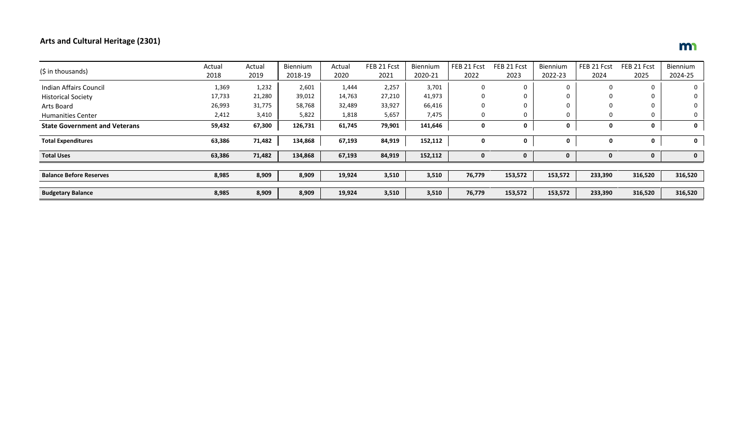# **Arts and Cultural Heritage (2301)**

|                                      | Actual | Actual | Biennium | Actual | FEB 21 Fcst | Biennium | FEB 21 Fcst | FEB 21 Fcst | Biennium | FEB 21 Fcst | FEB 21 Fcst | Biennium |
|--------------------------------------|--------|--------|----------|--------|-------------|----------|-------------|-------------|----------|-------------|-------------|----------|
| (\$ in thousands)                    | 2018   | 2019   | 2018-19  | 2020   | 2021        | 2020-21  | 2022        | 2023        | 2022-23  | 2024        | 2025        | 2024-25  |
| Indian Affairs Council               | 1,369  | 1,232  | 2,601    | 1,444  | 2,257       | 3,701    | 0           | 0           | $\Omega$ |             |             |          |
| <b>Historical Society</b>            | 17,733 | 21,280 | 39,012   | 14,763 | 27,210      | 41,973   | 0           | 0           | 0        |             |             |          |
| Arts Board                           | 26,993 | 31,775 | 58,768   | 32,489 | 33,927      | 66,416   |             | 0           | $\Omega$ |             |             |          |
| <b>Humanities Center</b>             | 2,412  | 3,410  | 5,822    | 1,818  | 5,657       | 7,475    | 0           | 0           | 0        | 0           |             |          |
| <b>State Government and Veterans</b> | 59,432 | 67,300 | 126,731  | 61,745 | 79,901      | 141,646  | 0           | 0           | 0        | 0           | 0           | 0        |
| <b>Total Expenditures</b>            | 63,386 | 71,482 | 134,868  | 67,193 | 84,919      | 152,112  | 0           | 0           | 0        | 0           | 0           | 0        |
| <b>Total Uses</b>                    | 63,386 | 71,482 | 134,868  | 67,193 | 84,919      | 152,112  |             |             | 0        |             |             | 0        |
|                                      |        |        |          |        |             |          |             |             |          |             |             |          |
| <b>Balance Before Reserves</b>       | 8,985  | 8,909  | 8,909    | 19,924 | 3,510       | 3,510    | 76,779      | 153,572     | 153,572  | 233,390     | 316,520     | 316,520  |
|                                      |        |        |          |        |             |          |             |             |          |             |             |          |
| <b>Budgetary Balance</b>             | 8,985  | 8,909  | 8,909    | 19,924 | 3,510       | 3,510    | 76,779      | 153,572     | 153,572  | 233,390     | 316,520     | 316,520  |

# m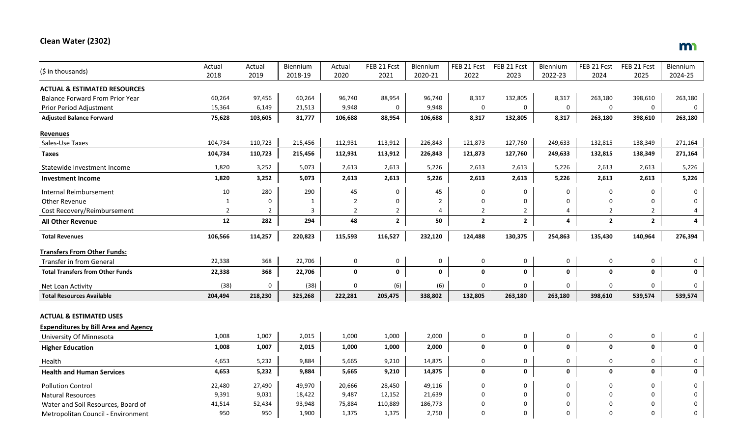## **Clean Water (2302)**

| (\$ in thousands)                           | Actual         | Actual         | <b>Biennium</b> | Actual         | FEB 21 Fcst         | Biennium       | FEB 21 Fcst    | FEB 21 Fcst    | Biennium    | FEB 21 Fcst    | FEB 21 Fcst    | Biennium |
|---------------------------------------------|----------------|----------------|-----------------|----------------|---------------------|----------------|----------------|----------------|-------------|----------------|----------------|----------|
|                                             | 2018           | 2019           | 2018-19         | 2020           | 2021                | 2020-21        | 2022           | 2023           | 2022-23     | 2024           | 2025           | 2024-25  |
| <b>ACTUAL &amp; ESTIMATED RESOURCES</b>     |                |                |                 |                |                     |                |                |                |             |                |                |          |
| <b>Balance Forward From Prior Year</b>      | 60,264         | 97,456         | 60,264          | 96,740         | 88,954              | 96,740         | 8,317          | 132,805        | 8,317       | 263,180        | 398,610        | 263,180  |
| Prior Period Adjustment                     | 15,364         | 6,149          | 21,513          | 9,948          | 0                   | 9,948          | 0              | 0              | 0           | 0              | $\mathbf 0$    | 0        |
| <b>Adjusted Balance Forward</b>             | 75,628         | 103,605        | 81,777          | 106,688        | 88,954              | 106,688        | 8,317          | 132,805        | 8,317       | 263,180        | 398,610        | 263,180  |
| <b>Revenues</b>                             |                |                |                 |                |                     |                |                |                |             |                |                |          |
| Sales-Use Taxes                             | 104,734        | 110,723        | 215,456         | 112,931        | 113,912             | 226,843        | 121,873        | 127,760        | 249,633     | 132,815        | 138,349        | 271,164  |
| <b>Taxes</b>                                | 104,734        | 110,723        | 215,456         | 112,931        | 113,912             | 226,843        | 121,873        | 127,760        | 249,633     | 132,815        | 138,349        | 271,164  |
| Statewide Investment Income                 | 1,820          | 3,252          | 5,073           | 2,613          | 2,613               | 5,226          | 2,613          | 2,613          | 5,226       | 2,613          | 2,613          | 5,226    |
| <b>Investment Income</b>                    | 1,820          | 3,252          | 5,073           | 2,613          | 2,613               | 5,226          | 2,613          | 2,613          | 5,226       | 2,613          | 2,613          | 5,226    |
| Internal Reimbursement                      | 10             | 280            | 290             | 45             | 0                   | 45             | 0              | 0              | 0           | 0              | 0              | 0        |
| Other Revenue                               | $\mathbf{1}$   | $\Omega$       | $\mathbf{1}$    | $\overline{2}$ | 0                   | $\overline{2}$ | $\mathbf 0$    | 0              | $\Omega$    | 0              | $\mathbf 0$    | $\Omega$ |
| Cost Recovery/Reimbursement                 | $\overline{2}$ | $\overline{2}$ | 3               | $\overline{2}$ | $\overline{2}$      | $\overline{4}$ | $\overline{2}$ | $\overline{2}$ | 4           | $\overline{2}$ | $\overline{2}$ | 4        |
| All Other Revenue                           | 12             | 282            | 294             | 48             | $\mathbf{2}$        | 50             | $\overline{2}$ | $\mathbf{2}$   | 4           | $\overline{2}$ | $\overline{2}$ | 4        |
| <b>Total Revenues</b>                       | 106,566        | 114,257        | 220,823         | 115,593        | 116,527             | 232,120        | 124,488        | 130,375        | 254,863     | 135,430        | 140,964        | 276,394  |
| <b>Transfers From Other Funds:</b>          |                |                |                 |                |                     |                |                |                |             |                |                |          |
| Transfer in from General                    | 22,338         | 368            | 22,706          | 0              | $\mathsf{O}\xspace$ | 0              | 0              | 0              | 0           | $\mathsf 0$    | $\mathsf 0$    | 0        |
| <b>Total Transfers from Other Funds</b>     | 22,338         | 368            | 22,706          | $\mathbf{0}$   | 0                   | 0              | 0              | 0              | 0           | $\mathbf 0$    | $\mathbf 0$    | 0        |
| Net Loan Activity                           | (38)           | 0              | (38)            | $\Omega$       | (6)                 | (6)            | 0              | 0              | 0           | $\mathbf 0$    | $\mathbf 0$    | 0        |
| <b>Total Resources Available</b>            | 204,494        | 218,230        | 325,268         | 222,281        | 205,475             | 338,802        | 132,805        | 263,180        | 263,180     | 398,610        | 539,574        | 539,574  |
|                                             |                |                |                 |                |                     |                |                |                |             |                |                |          |
| <b>ACTUAL &amp; ESTIMATED USES</b>          |                |                |                 |                |                     |                |                |                |             |                |                |          |
| <b>Expenditures by Bill Area and Agency</b> |                |                |                 |                |                     |                |                |                |             |                |                |          |
| University Of Minnesota                     | 1,008          | 1,007          | 2,015           | 1,000          | 1,000               | 2,000          | 0              | 0              | 0           | $\pmb{0}$      | $\mathsf 0$    | 0        |
| <b>Higher Education</b>                     | 1,008          | 1,007          | 2,015           | 1,000          | 1,000               | 2,000          | 0              | 0              | 0           | $\pmb{0}$      | $\mathbf 0$    | 0        |
| Health                                      | 4,653          | 5,232          | 9,884           | 5,665          | 9,210               | 14,875         | 0              | 0              | 0           | 0              | 0              | 0        |
| <b>Health and Human Services</b>            | 4,653          | 5,232          | 9,884           | 5,665          | 9,210               | 14,875         | 0              | 0              | 0           | $\mathbf 0$    | $\mathbf 0$    | $\Omega$ |
| <b>Pollution Control</b>                    | 22,480         | 27,490         | 49,970          | 20,666         | 28,450              | 49,116         | 0              | 0              | $\mathbf 0$ | $\Omega$       | $\mathbf 0$    | U        |
| <b>Natural Resources</b>                    | 9,391          | 9,031          | 18,422          | 9,487          | 12,152              | 21,639         | 0              | 0              | $\Omega$    |                | $\mathbf 0$    | U        |
| Water and Soil Resources, Board of          | 41,514         | 52,434         | 93,948          | 75,884         | 110,889             | 186,773        |                | $\Omega$       | $\Omega$    |                | $\Omega$       | 0        |
| Metropolitan Council - Environment          | 950            | 950            | 1,900           | 1,375          | 1,375               | 2,750          | $\Omega$       | $\Omega$       | $\mathbf 0$ | $\Omega$       | $\Omega$       | $\Omega$ |

# m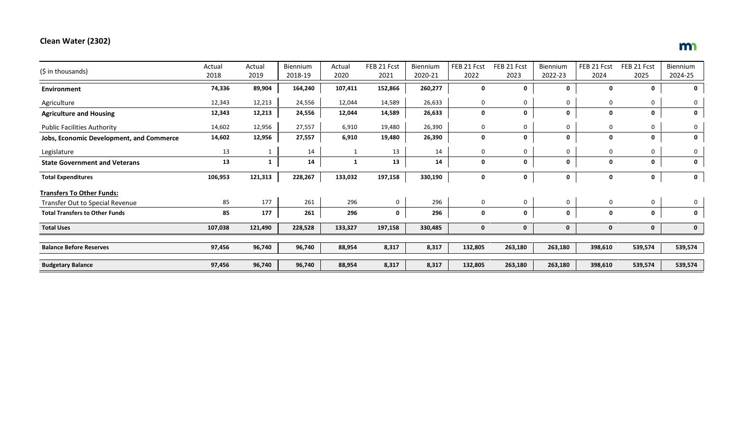# **Clean Water (2302)**

|                                                 | Actual  | Actual       | Biennium | Actual      | FEB 21 Fcst | Biennium | FEB 21 Fcst | FEB 21 Fcst | Biennium | FEB 21 Fcst | FEB 21 Fcst | Biennium    |
|-------------------------------------------------|---------|--------------|----------|-------------|-------------|----------|-------------|-------------|----------|-------------|-------------|-------------|
| (\$ in thousands)                               | 2018    | 2019         | 2018-19  | 2020        | 2021        | 2020-21  | 2022        | 2023        | 2022-23  | 2024        | 2025        | 2024-25     |
| Environment                                     | 74,336  | 89,904       | 164,240  | 107,411     | 152,866     | 260,277  | 0           | $\mathbf 0$ | 0        | 0           | 0           | $\mathbf 0$ |
| Agriculture                                     | 12,343  | 12,213       | 24,556   | 12,044      | 14,589      | 26,633   | 0           | 0           | 0        | 0           | 0           | 0           |
| <b>Agriculture and Housing</b>                  | 12,343  | 12,213       | 24,556   | 12,044      | 14,589      | 26,633   | 0           | $\mathbf 0$ | 0        | 0           | 0           | 0           |
| <b>Public Facilities Authority</b>              | 14,602  | 12,956       | 27,557   | 6,910       | 19,480      | 26,390   | 0           | $\mathbf 0$ | 0        | 0           | 0           | 0           |
| <b>Jobs, Economic Development, and Commerce</b> | 14,602  | 12,956       | 27,557   | 6,910       | 19,480      | 26,390   | 0           | $\mathbf 0$ | 0        | 0           | 0           | 0           |
| Legislature                                     | 13      |              | 14       |             | 13          | 14       | 0           | $\mathbf 0$ | 0        | 0           | 0           | 0           |
| <b>State Government and Veterans</b>            | 13      | $\mathbf{1}$ | 14       | $\mathbf 1$ | 13          | 14       | $\mathbf 0$ | $\mathbf 0$ | 0        | 0           | 0           | 0           |
| <b>Total Expenditures</b>                       | 106,953 | 121,313      | 228,267  | 133,032     | 197,158     | 330,190  | 0           | $\mathbf 0$ | 0        | 0           | 0           | $\mathbf 0$ |
| <b>Transfers To Other Funds:</b>                |         |              |          |             |             |          |             |             |          |             |             |             |
| Transfer Out to Special Revenue                 | 85      | 177          | 261      | 296         | 0           | 296      | 0           | $\mathbf 0$ | 0        | 0           | $\mathbf 0$ | 0           |
| <b>Total Transfers to Other Funds</b>           | 85      | 177          | 261      | 296         | $\mathbf 0$ | 296      | 0           | $\mathbf 0$ | 0        | 0           | 0           | 0           |
| <b>Total Uses</b>                               | 107,038 | 121,490      | 228,528  | 133,327     | 197,158     | 330,485  | 0           | $\mathbf 0$ | 0        | 0           | 0           | $\mathbf 0$ |
|                                                 |         |              |          |             |             |          |             |             |          |             |             |             |
| <b>Balance Before Reserves</b>                  | 97,456  | 96,740       | 96,740   | 88,954      | 8,317       | 8,317    | 132,805     | 263,180     | 263,180  | 398,610     | 539,574     | 539,574     |
| <b>Budgetary Balance</b>                        | 97,456  | 96,740       | 96,740   | 88,954      | 8,317       | 8,317    | 132,805     | 263,180     | 263,180  | 398,610     | 539,574     | 539,574     |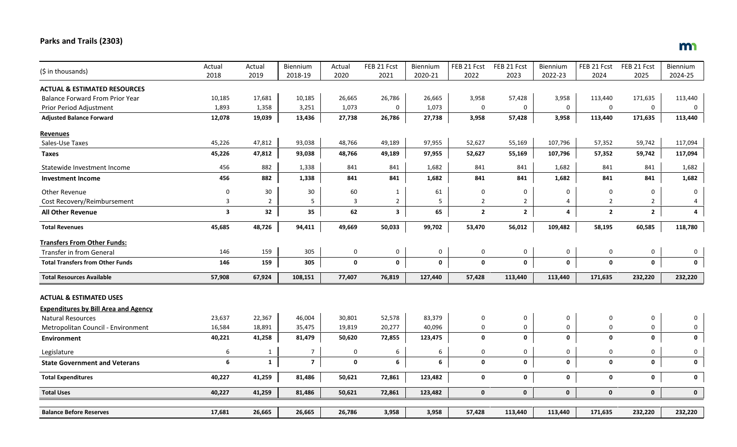# **Parks and Trails (2303)**

| (\$ in thousands)                           | Actual         | Actual         | Biennium       | Actual      | FEB 21 Fcst    | Biennium       | FEB 21 Fcst    | FEB 21 Fcst    | Biennium    | FEB 21 Fcst    | FEB 21 Fcst         | Biennium    |
|---------------------------------------------|----------------|----------------|----------------|-------------|----------------|----------------|----------------|----------------|-------------|----------------|---------------------|-------------|
|                                             | 2018           | 2019           | 2018-19        | 2020        | 2021           | 2020-21        | 2022           | 2023           | 2022-23     | 2024           | 2025                | 2024-25     |
| <b>ACTUAL &amp; ESTIMATED RESOURCES</b>     |                |                |                |             |                |                |                |                |             |                |                     |             |
| <b>Balance Forward From Prior Year</b>      | 10,185         | 17,681         | 10,185         | 26,665      | 26,786         | 26,665         | 3,958          | 57,428         | 3,958       | 113,440        | 171,635             | 113,440     |
| Prior Period Adjustment                     | 1,893          | 1,358          | 3,251          | 1,073       | 0              | 1,073          | 0              | 0              | $\mathbf 0$ | $\pmb{0}$      | $\mathbf 0$         | $\mathbf 0$ |
| <b>Adjusted Balance Forward</b>             | 12,078         | 19,039         | 13,436         | 27,738      | 26,786         | 27,738         | 3,958          | 57,428         | 3,958       | 113,440        | 171,635             | 113,440     |
| <b>Revenues</b>                             |                |                |                |             |                |                |                |                |             |                |                     |             |
| Sales-Use Taxes                             | 45,226         | 47,812         | 93,038         | 48,766      | 49,189         | 97,955         | 52,627         | 55,169         | 107,796     | 57,352         | 59,742              | 117,094     |
| Taxes                                       | 45,226         | 47,812         | 93,038         | 48,766      | 49,189         | 97,955         | 52,627         | 55,169         | 107,796     | 57,352         | 59,742              | 117,094     |
| Statewide Investment Income                 | 456            | 882            | 1,338          | 841         | 841            | 1,682          | 841            | 841            | 1,682       | 841            | 841                 | 1,682       |
| <b>Investment Income</b>                    | 456            | 882            | 1,338          | 841         | 841            | 1,682          | 841            | 841            | 1,682       | 841            | 841                 | 1,682       |
| <b>Other Revenue</b>                        | 0              | 30             | 30             | 60          | $\mathbf{1}$   | 61             | 0              | 0              | 0           | 0              | $\mathbf 0$         | $\mathbf 0$ |
| Cost Recovery/Reimbursement                 | $\overline{3}$ | $\overline{2}$ | 5              | 3           | $\overline{2}$ | $5\phantom{.}$ | $\overline{2}$ | $\overline{2}$ | 4           | $\overline{2}$ | $\overline{2}$      | 4           |
| <b>All Other Revenue</b>                    | 3              | 32             | 35             | 62          | 3              | 65             | $\mathbf{2}$   | $\mathbf{2}$   | 4           | $\overline{2}$ | $\mathbf{2}$        | 4           |
| <b>Total Revenues</b>                       | 45,685         | 48,726         | 94,411         | 49,669      | 50,033         | 99,702         | 53,470         | 56,012         | 109,482     | 58,195         | 60,585              | 118,780     |
| <b>Transfers From Other Funds:</b>          |                |                |                |             |                |                |                |                |             |                |                     |             |
| <b>Transfer in from General</b>             | 146            | 159            | 305            | 0           | $\mathsf 0$    | $\mathsf 0$    | 0              | 0              | 0           | 0              | 0                   | 0           |
| <b>Total Transfers from Other Funds</b>     | 146            | 159            | 305            | $\mathbf 0$ | $\mathbf 0$    | $\pmb{0}$      | 0              | $\mathbf 0$    | $\mathbf 0$ | $\mathbf 0$    | $\mathbf 0$         | $\mathbf 0$ |
| <b>Total Resources Available</b>            | 57,908         | 67,924         | 108,151        | 77,407      | 76,819         | 127,440        | 57,428         | 113,440        | 113,440     | 171,635        | 232,220             | 232,220     |
| <b>ACTUAL &amp; ESTIMATED USES</b>          |                |                |                |             |                |                |                |                |             |                |                     |             |
| <b>Expenditures by Bill Area and Agency</b> |                |                |                |             |                |                |                |                |             |                |                     |             |
| <b>Natural Resources</b>                    | 23,637         | 22,367         | 46,004         | 30,801      | 52,578         | 83,379         | 0              | 0              | 0           | 0              | 0                   | 0           |
| Metropolitan Council - Environment          | 16,584         | 18,891         | 35,475         | 19,819      | 20,277         | 40,096         | 0              | 0              | 0           | $\mathbf 0$    | $\mathsf{O}\xspace$ | $\mathbf 0$ |
| <b>Environment</b>                          | 40,221         | 41,258         | 81,479         | 50,620      | 72,855         | 123,475        | 0              | $\mathbf 0$    | 0           | 0              | $\mathbf 0$         | 0           |
| Legislature                                 | 6              | $\mathbf{1}$   | $\overline{7}$ | $\mathbf 0$ | 6              | 6              | 0              | 0              | $\pmb{0}$   | $\pmb{0}$      | $\pmb{0}$           | 0           |
| <b>State Government and Veterans</b>        | 6              | $\mathbf{1}$   | $\overline{7}$ | $\mathbf 0$ | 6              | 6              | 0              | $\mathbf 0$    | $\pmb{0}$   | $\mathbf 0$    | 0                   | $\mathbf 0$ |
| <b>Total Expenditures</b>                   | 40,227         | 41,259         | 81,486         | 50,621      | 72,861         | 123,482        | 0              | 0              | 0           | 0              | $\mathbf 0$         | 0           |
| <b>Total Uses</b>                           | 40,227         | 41,259         | 81,486         | 50,621      | 72,861         | 123,482        | 0              | $\mathbf 0$    | $\pmb{0}$   | $\mathbf 0$    | $\mathbf 0$         | $\mathbf 0$ |
| <b>Balance Before Reserves</b>              | 17,681         | 26,665         | 26,665         | 26,786      | 3,958          | 3,958          | 57,428         | 113,440        | 113,440     | 171,635        | 232,220             | 232,220     |
|                                             |                |                |                |             |                |                |                |                |             |                |                     |             |